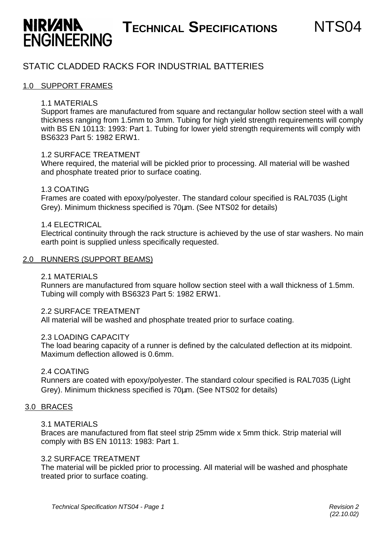# **TECHNICAL SPECIFICATIONS** NTS04

## STATIC CLADDED RACKS FOR INDUSTRIAL BATTERIES

#### 1.0 SUPPORT FRAMES

**ENGINEERING** 

**NIRVANA** 

#### 1.1 MATERIALS

Support frames are manufactured from square and rectangular hollow section steel with a wall thickness ranging from 1.5mm to 3mm. Tubing for high yield strength requirements will comply with BS EN 10113: 1993: Part 1. Tubing for lower yield strength requirements will comply with BS6323 Part 5: 1982 ERW1.

#### 1.2 SURFACE TREATMENT

Where required, the material will be pickled prior to processing. All material will be washed and phosphate treated prior to surface coating.

#### 1.3 COATING

Frames are coated with epoxy/polyester. The standard colour specified is RAL7035 (Light Grey). Minimum thickness specified is 70μm. (See NTS02 for details)

#### 1.4 ELECTRICAL

Electrical continuity through the rack structure is achieved by the use of star washers. No main earth point is supplied unless specifically requested.

#### 2.0 RUNNERS (SUPPORT BEAMS)

#### 2.1 MATERIALS

Runners are manufactured from square hollow section steel with a wall thickness of 1.5mm. Tubing will comply with BS6323 Part 5: 1982 ERW1.

#### 2.2 SURFACE TREATMENT

All material will be washed and phosphate treated prior to surface coating.

#### 2.3 LOADING CAPACITY

The load bearing capacity of a runner is defined by the calculated deflection at its midpoint. Maximum deflection allowed is 0.6mm.

#### 2.4 COATING

Runners are coated with epoxy/polyester. The standard colour specified is RAL7035 (Light Grey). Minimum thickness specified is 70μm. (See NTS02 for details)

#### 3.0 BRACES

#### 3.1 MATERIALS

Braces are manufactured from flat steel strip 25mm wide x 5mm thick. Strip material will comply with BS EN 10113: 1983: Part 1.

#### 3.2 SURFACE TREATMENT

The material will be pickled prior to processing. All material will be washed and phosphate treated prior to surface coating.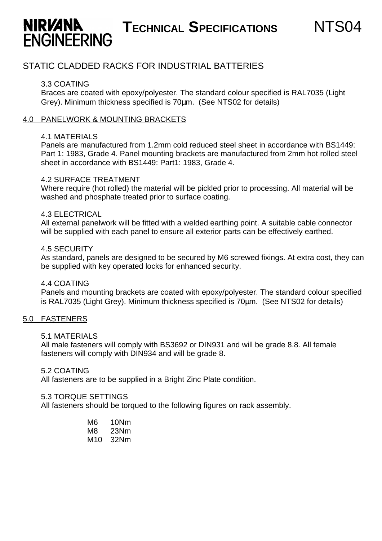# **TECHNICAL SPECIFICATIONS** NTS04

### STATIC CLADDED RACKS FOR INDUSTRIAL BATTERIES

#### 3.3 COATING

**ENGINEERING** 

**NIRVANA** 

Braces are coated with epoxy/polyester. The standard colour specified is RAL7035 (Light Grey). Minimum thickness specified is 70μm. (See NTS02 for details)

#### 4.0 PANELWORK & MOUNTING BRACKETS

#### 4.1 MATERIALS

Panels are manufactured from 1.2mm cold reduced steel sheet in accordance with BS1449: Part 1: 1983, Grade 4. Panel mounting brackets are manufactured from 2mm hot rolled steel sheet in accordance with BS1449: Part1: 1983, Grade 4.

#### 4.2 SURFACE TREATMENT

Where require (hot rolled) the material will be pickled prior to processing. All material will be washed and phosphate treated prior to surface coating.

#### 4.3 ELECTRICAL

All external panelwork will be fitted with a welded earthing point. A suitable cable connector will be supplied with each panel to ensure all exterior parts can be effectively earthed.

#### 4.5 SECURITY

As standard, panels are designed to be secured by M6 screwed fixings. At extra cost, they can be supplied with key operated locks for enhanced security.

#### 4.4 COATING

Panels and mounting brackets are coated with epoxy/polyester. The standard colour specified is RAL7035 (Light Grey). Minimum thickness specified is 70μm. (See NTS02 for details)

#### 5.0 FASTENERS

#### 5.1 MATERIALS

All male fasteners will comply with BS3692 or DIN931 and will be grade 8.8. All female fasteners will comply with DIN934 and will be grade 8.

#### 5.2 COATING

All fasteners are to be supplied in a Bright Zinc Plate condition.

#### 5.3 TORQUE SETTINGS

All fasteners should be torqued to the following figures on rack assembly.

M6 10Nm M8 23Nm M10 32Nm